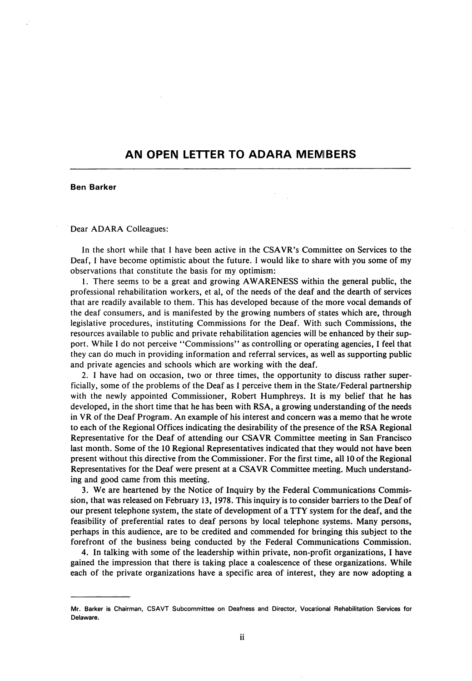## AN OPEN LETTER TO ADARA MEMBERS

## Ben Barker

## Dear ADARA Golleagues:

In the short while that 1 have been active in the CSAVR's Committee on Services to the Deaf, I have become optimistic about the future. I would like to share with you some of my observations that constitute the basis for my optimism:

1. There seems to be a great and growing AWARENESS withip the general public, the professional rehabilitation workers, et al, of the needs of the deaf and the dearth of services that are readily available to them. This has developed because of the more vocal demands of the deaf consumers, and is manifested by the growing numbers of sltates which are, through legislative procedures, instituting Commissions for the Deaf. With such Commissions, the resources available to public and private rehabilitation agencies will be enhanced by their sup port. While I do not perceive \*'Commissions'' as controlling or operating agencies, I feel that they can do much in providing information and referral services, as well as supporting public and private agencies and schools which are working with the deaf.

2. I have had on occasion, two or three times, the opportunity to discuss rather super ficially, some of the problems of the Deaf as I perceive them in the State/Federal partnership with the newly appointed Commissioner, Robert Humphreys. It is my belief that he has developed, in the short time that he has been with RSA, a growing understanding of the needs in VR of the Deaf Program. An example of his interest and concern was a memo that he wrote to each of the Regional Offices indicating the desirability of the presence of the RSA Regional Representative for the Deaf of attending our CSAVR Committee meeting in San Francisco last month. Some of the 10 Regional Representatives indicated that they would not have been present without this directive from the Commissioner. For the first t ime, all 10 of the Regional Representatives for the Deaf were present at a CSAVR Committee meeting. Much understand ing and good came from this meeting.

3. We are heartened by the Notice of Inquiry by the Federal Communications Commis sion, that was released on February 13, 1978. This inquiry is to consider barriers to the Deaf of our present telephone system, the state of development of a TTY system for the deaf, and the feasibility of preferential rates to deaf persons by local telephone systems. Many persons, perhaps in this audience, are to be credited and commended for bringing this subject to the forefront of the business being conducted by the Federal Communications Commission.

4. In talking with some of the leadership within private, non-profit organizations, 1 have gained the impression that there is taking place a coalescence of these organizations. While each of the private organizations have a specific area of interest, they are now adopting a

Mr. Barker is Chairman, CSAVT Subcommittee on Deafness and Director, Vocational Rehabilitation Services for Delaware.